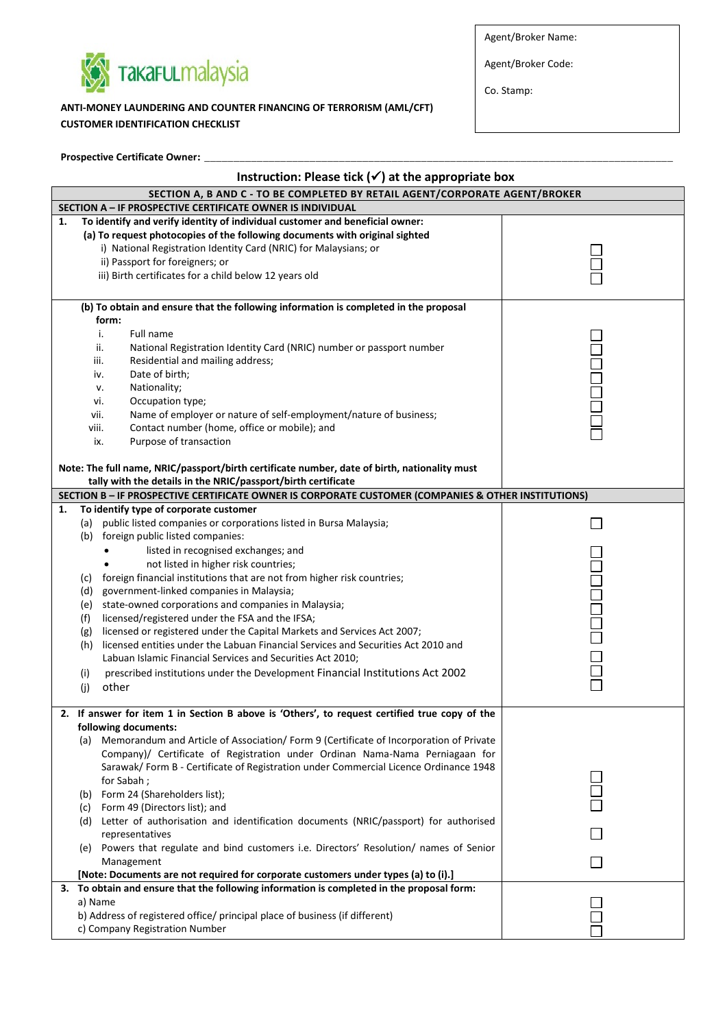

**Prospective Certificate Owner:** \_\_\_\_\_\_\_\_\_\_\_\_\_\_\_\_\_\_\_\_\_\_\_\_\_\_\_\_\_\_\_\_\_\_\_\_\_\_\_\_\_\_\_\_\_\_\_\_\_\_\_\_\_\_\_\_\_\_\_\_\_\_\_\_\_\_\_\_\_\_\_\_\_\_\_\_\_\_\_\_

**ANTI-MONEY LAUNDERING AND COUNTER FINANCING OF TERRORISM (AML/CFT) CUSTOMER IDENTIFICATION CHECKLIST**

Agent/Broker Name:

Agent/Broker Code:

Co. Stamp:

| Instruction: Please tick $(\checkmark)$ at the appropriate box              |                                                                                                                                                                      |  |  |  |  |  |  |
|-----------------------------------------------------------------------------|----------------------------------------------------------------------------------------------------------------------------------------------------------------------|--|--|--|--|--|--|
| SECTION A, B AND C - TO BE COMPLETED BY RETAIL AGENT/CORPORATE AGENT/BROKER |                                                                                                                                                                      |  |  |  |  |  |  |
| SECTION A - IF PROSPECTIVE CERTIFICATE OWNER IS INDIVIDUAL                  |                                                                                                                                                                      |  |  |  |  |  |  |
| 1.                                                                          | To identify and verify identity of individual customer and beneficial owner:                                                                                         |  |  |  |  |  |  |
|                                                                             | (a) To request photocopies of the following documents with original sighted                                                                                          |  |  |  |  |  |  |
|                                                                             | i) National Registration Identity Card (NRIC) for Malaysians; or                                                                                                     |  |  |  |  |  |  |
|                                                                             | ii) Passport for foreigners; or                                                                                                                                      |  |  |  |  |  |  |
|                                                                             | iii) Birth certificates for a child below 12 years old                                                                                                               |  |  |  |  |  |  |
|                                                                             |                                                                                                                                                                      |  |  |  |  |  |  |
|                                                                             | (b) To obtain and ensure that the following information is completed in the proposal                                                                                 |  |  |  |  |  |  |
|                                                                             | form:                                                                                                                                                                |  |  |  |  |  |  |
|                                                                             | Full name<br>i.                                                                                                                                                      |  |  |  |  |  |  |
|                                                                             | ii.<br>National Registration Identity Card (NRIC) number or passport number                                                                                          |  |  |  |  |  |  |
|                                                                             | iii.<br>Residential and mailing address;                                                                                                                             |  |  |  |  |  |  |
|                                                                             | Date of birth;<br>iv.                                                                                                                                                |  |  |  |  |  |  |
|                                                                             |                                                                                                                                                                      |  |  |  |  |  |  |
|                                                                             | Nationality;<br>٧.                                                                                                                                                   |  |  |  |  |  |  |
|                                                                             | Occupation type;<br>vi.                                                                                                                                              |  |  |  |  |  |  |
|                                                                             | Name of employer or nature of self-employment/nature of business;<br>vii.                                                                                            |  |  |  |  |  |  |
|                                                                             | viii.<br>Contact number (home, office or mobile); and                                                                                                                |  |  |  |  |  |  |
|                                                                             | Purpose of transaction<br>ix.                                                                                                                                        |  |  |  |  |  |  |
|                                                                             |                                                                                                                                                                      |  |  |  |  |  |  |
|                                                                             | Note: The full name, NRIC/passport/birth certificate number, date of birth, nationality must                                                                         |  |  |  |  |  |  |
|                                                                             | tally with the details in the NRIC/passport/birth certificate<br>SECTION B - IF PROSPECTIVE CERTIFICATE OWNER IS CORPORATE CUSTOMER (COMPANIES & OTHER INSTITUTIONS) |  |  |  |  |  |  |
|                                                                             | To identify type of corporate customer                                                                                                                               |  |  |  |  |  |  |
| 1.                                                                          |                                                                                                                                                                      |  |  |  |  |  |  |
|                                                                             | public listed companies or corporations listed in Bursa Malaysia;<br>(a)                                                                                             |  |  |  |  |  |  |
|                                                                             | (b) foreign public listed companies:                                                                                                                                 |  |  |  |  |  |  |
|                                                                             | listed in recognised exchanges; and                                                                                                                                  |  |  |  |  |  |  |
|                                                                             | not listed in higher risk countries;                                                                                                                                 |  |  |  |  |  |  |
|                                                                             | foreign financial institutions that are not from higher risk countries;<br>(c)                                                                                       |  |  |  |  |  |  |
|                                                                             | government-linked companies in Malaysia;<br>(d)                                                                                                                      |  |  |  |  |  |  |
|                                                                             | state-owned corporations and companies in Malaysia;<br>(e)                                                                                                           |  |  |  |  |  |  |
|                                                                             | (f)<br>licensed/registered under the FSA and the IFSA;                                                                                                               |  |  |  |  |  |  |
|                                                                             | licensed or registered under the Capital Markets and Services Act 2007;<br>(g)                                                                                       |  |  |  |  |  |  |
|                                                                             | licensed entities under the Labuan Financial Services and Securities Act 2010 and<br>(h)                                                                             |  |  |  |  |  |  |
|                                                                             | Labuan Islamic Financial Services and Securities Act 2010;                                                                                                           |  |  |  |  |  |  |
|                                                                             | prescribed institutions under the Development Financial Institutions Act 2002<br>(i)                                                                                 |  |  |  |  |  |  |
|                                                                             | other<br>(j)                                                                                                                                                         |  |  |  |  |  |  |
|                                                                             |                                                                                                                                                                      |  |  |  |  |  |  |
|                                                                             | 2. If answer for item 1 in Section B above is 'Others', to request certified true copy of the                                                                        |  |  |  |  |  |  |
|                                                                             | following documents:                                                                                                                                                 |  |  |  |  |  |  |
|                                                                             | (a) Memorandum and Article of Association/Form 9 (Certificate of Incorporation of Private                                                                            |  |  |  |  |  |  |
|                                                                             | Company)/ Certificate of Registration under Ordinan Nama-Nama Perniagaan for                                                                                         |  |  |  |  |  |  |
|                                                                             | Sarawak/ Form B - Certificate of Registration under Commercial Licence Ordinance 1948                                                                                |  |  |  |  |  |  |
|                                                                             | for Sabah;                                                                                                                                                           |  |  |  |  |  |  |
|                                                                             | Form 24 (Shareholders list);<br>(b)                                                                                                                                  |  |  |  |  |  |  |
|                                                                             | Form 49 (Directors list); and<br>(c)                                                                                                                                 |  |  |  |  |  |  |
|                                                                             | (d) Letter of authorisation and identification documents (NRIC/passport) for authorised                                                                              |  |  |  |  |  |  |
|                                                                             | representatives                                                                                                                                                      |  |  |  |  |  |  |
|                                                                             | Powers that regulate and bind customers i.e. Directors' Resolution/ names of Senior<br>(e)                                                                           |  |  |  |  |  |  |
|                                                                             | Management                                                                                                                                                           |  |  |  |  |  |  |
|                                                                             | [Note: Documents are not required for corporate customers under types (a) to (i).]                                                                                   |  |  |  |  |  |  |
|                                                                             | 3. To obtain and ensure that the following information is completed in the proposal form:                                                                            |  |  |  |  |  |  |
|                                                                             | a) Name<br>b) Address of registered office/ principal place of business (if different)                                                                               |  |  |  |  |  |  |
|                                                                             |                                                                                                                                                                      |  |  |  |  |  |  |
|                                                                             | c) Company Registration Number                                                                                                                                       |  |  |  |  |  |  |